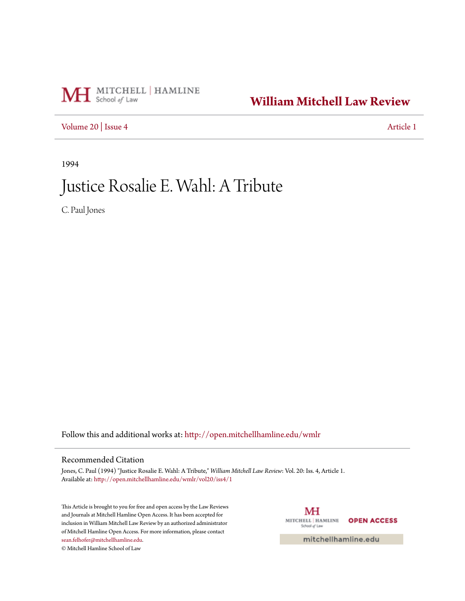# MH School of Law

### **[William Mitchell Law Review](http://open.mitchellhamline.edu/wmlr?utm_source=open.mitchellhamline.edu%2Fwmlr%2Fvol20%2Fiss4%2F1&utm_medium=PDF&utm_campaign=PDFCoverPages)**

[Volume 20](http://open.mitchellhamline.edu/wmlr/vol20?utm_source=open.mitchellhamline.edu%2Fwmlr%2Fvol20%2Fiss4%2F1&utm_medium=PDF&utm_campaign=PDFCoverPages) | [Issue 4](http://open.mitchellhamline.edu/wmlr/vol20/iss4?utm_source=open.mitchellhamline.edu%2Fwmlr%2Fvol20%2Fiss4%2F1&utm_medium=PDF&utm_campaign=PDFCoverPages) [Article 1](http://open.mitchellhamline.edu/wmlr/vol20/iss4/1?utm_source=open.mitchellhamline.edu%2Fwmlr%2Fvol20%2Fiss4%2F1&utm_medium=PDF&utm_campaign=PDFCoverPages)

1994

## Justice Rosalie E. Wahl: A Tribute

C. Paul Jones

Follow this and additional works at: [http://open.mitchellhamline.edu/wmlr](http://open.mitchellhamline.edu/wmlr?utm_source=open.mitchellhamline.edu%2Fwmlr%2Fvol20%2Fiss4%2F1&utm_medium=PDF&utm_campaign=PDFCoverPages)

#### Recommended Citation

Jones, C. Paul (1994) "Justice Rosalie E. Wahl: A Tribute," *William Mitchell Law Review*: Vol. 20: Iss. 4, Article 1. Available at: [http://open.mitchellhamline.edu/wmlr/vol20/iss4/1](http://open.mitchellhamline.edu/wmlr/vol20/iss4/1?utm_source=open.mitchellhamline.edu%2Fwmlr%2Fvol20%2Fiss4%2F1&utm_medium=PDF&utm_campaign=PDFCoverPages)

This Article is brought to you for free and open access by the Law Reviews and Journals at Mitchell Hamline Open Access. It has been accepted for inclusion in William Mitchell Law Review by an authorized administrator of Mitchell Hamline Open Access. For more information, please contact [sean.felhofer@mitchellhamline.edu](mailto:sean.felhofer@mitchellhamline.edu). © Mitchell Hamline School of Law

MH MITCHELL | HAMLINE **OPEN ACCESS** School of Law

mitchellhamline.edu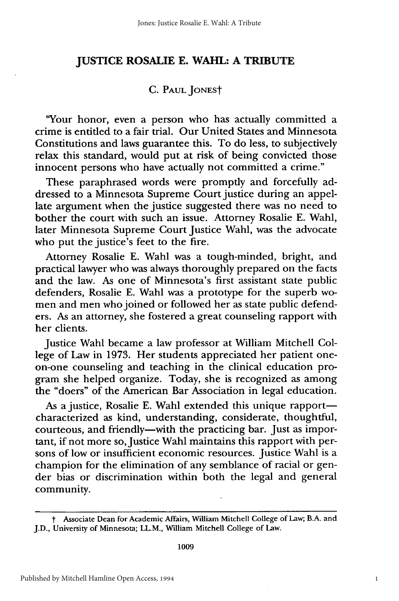#### **JUSTICE ROSALIE E. WAHL: A TRIBUTE**

#### **C. PAUL** JONESt

'Your honor, even a person who has actually committed a crime is entitled to a fair trial. Our United States and Minnesota Constitutions and laws guarantee this. To do less, to subjectively relax this standard, would put at risk of being convicted those innocent persons who have actually not committed a crime."

These paraphrased words were promptly and forcefully addressed to a Minnesota Supreme Court justice during an appellate argument when the justice suggested there was no need to bother the court with such an issue. Attorney Rosalie E. Wahl, later Minnesota Supreme Court Justice Wahl, was the advocate who put the justice's feet to the fire.

Attorney Rosalie E. Wahl was a tough-minded, bright, and practical lawyer who was always thoroughly prepared on the facts and the law. As one of Minnesota's first assistant state public defenders, Rosalie E. Wahl was a prototype for the superb women and men who joined or followed her as state public defenders. As an attorney, she fostered a great counseling rapport with her clients.

Justice Wahl became a law professor at William Mitchell College of Law in 1973. Her students appreciated her patient oneon-one counseling and teaching in the clinical education program she helped organize. Today, she is recognized as among the "doers" of the American Bar Association in legal education.

As a justice, Rosalie E. Wahl extended this unique rapportcharacterized as kind, understanding, considerate, thoughtful, courteous, and friendly-with the practicing bar. Just as important, if not more so, Justice Wahl maintains this rapport with persons of low or insufficient economic resources. Justice Wahl is a champion for the elimination of any semblance of racial or gender bias or discrimination within both the legal and general community.

t Associate Dean for Academic Affairs, William Mitchell College of Law; B.A. and J.D., University of Minnesota; LL.M., William Mitchell College of Law.